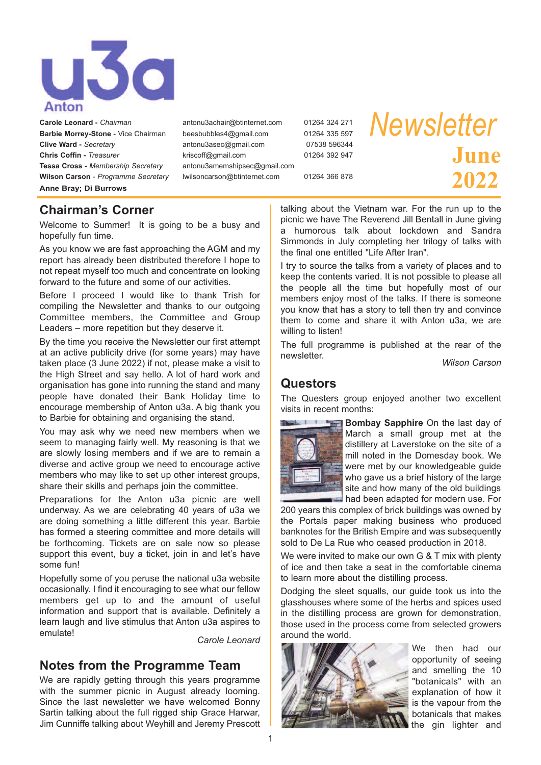

**Carole Leonard -** *Chairman*antonu3achair@btinternet.com 01264 324 271 **Barbie Morrey-Stone** - Vice Chairman beesbubbles4@gmail.com 01264 335 597 **Clive Ward -** *Secretary*<br> **Chris Coffin -** *Treasurer*<br> **Chris Coffin -** *Treasurer*<br> **Chris Coffin -** *Treasurer*<br> **Chris Coffin -** *Treasurer* **Chris Coffin -** *Treasurer*kriscoff@gmail.com 01264 392 947 **Tessa Cross -** *Membership Secretary*antonu3amemshipsec@gmail.com **Wilson Carson** - *Programme Secretary* lwilsoncarson@btinternet.com 01264 366 878 **Anne Bray; Di Burrows**

# *Newsletter* **June 2022**

## **Chairman's Corner**

Welcome to Summer! It is going to be a busy and hopefully fun time.

As you know we are fast approaching the AGM and my report has already been distributed therefore I hope to not repeat myself too much and concentrate on looking forward to the future and some of our activities.

Before I proceed I would like to thank Trish for compiling the Newsletter and thanks to our outgoing Committee members, the Committee and Group Leaders – more repetition but they deserve it.

By the time you receive the Newsletter our first attempt at an active publicity drive (for some years) may have taken place (3 June 2022) if not, please make a visit to the High Street and say hello. A lot of hard work and organisation has gone into running the stand and many people have donated their Bank Holiday time to encourage membership of Anton u3a. A big thank you to Barbie for obtaining and organising the stand.

You may ask why we need new members when we seem to managing fairly well. My reasoning is that we are slowly losing members and if we are to remain a diverse and active group we need to encourage active members who may like to set up other interest groups, share their skills and perhaps join the committee.

Preparations for the Anton u3a picnic are well underway. As we are celebrating 40 years of u3a we are doing something a little different this year. Barbie has formed a steering committee and more details will be forthcoming. Tickets are on sale now so please support this event, buy a ticket, join in and let's have some fun!

Hopefully some of you peruse the national u3a website occasionally. I find it encouraging to see what our fellow members get up to and the amount of useful information and support that is available. Definitely a learn laugh and live stimulus that Anton u3a aspires to emulate!

*Carole Leonard*

# **Notes from the Programme Team**

We are rapidly getting through this years programme with the summer picnic in August already looming. Since the last newsletter we have welcomed Bonny Sartin talking about the full rigged ship Grace Harwar, Jim Cunniffe talking about Weyhill and Jeremy Prescott talking about the Vietnam war. For the run up to the picnic we have The Reverend Jill Bentall in June giving a humorous talk about lockdown and Sandra Simmonds in July completing her trilogy of talks with the final one entitled "Life After Iran".

I try to source the talks from a variety of places and to keep the contents varied. It is not possible to please all the people all the time but hopefully most of our members enjoy most of the talks. If there is someone you know that has a story to tell then try and convince them to come and share it with Anton u3a, we are willing to listen!

The full programme is published at the rear of the newsletter. *Wilson Carson*

#### **Questors**

The Questers group enjoyed another two excellent visits in recent months:



**Bombay Sapphire** On the last day of March a small group met at the distillery at Laverstoke on the site of a mill noted in the Domesday book. We were met by our knowledgeable guide who gave us a brief history of the large site and how many of the old buildings had been adapted for modern use. For

200 years this complex of brick buildings was owned by the Portals paper making business who produced banknotes for the British Empire and was subsequently sold to De La Rue who ceased production in 2018.

We were invited to make our own G & T mix with plenty of ice and then take a seat in the comfortable cinema to learn more about the distilling process.

Dodging the sleet squalls, our guide took us into the glasshouses where some of the herbs and spices used in the distilling process are grown for demonstration, those used in the process come from selected growers around the world.



We then had our opportunity of seeing and smelling the 10 "botanicals" with an explanation of how it is the vapour from the botanicals that makes the gin lighter and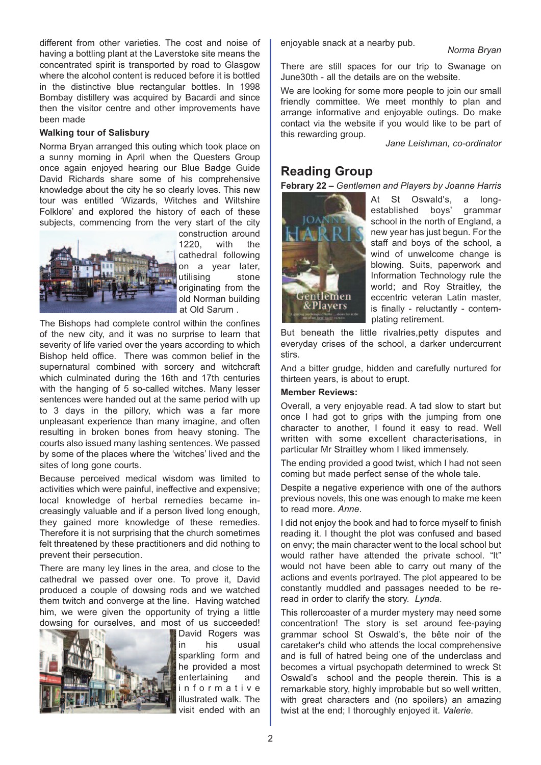different from other varieties. The cost and noise of having a bottling plant at the Laverstoke site means the concentrated spirit is transported by road to Glasgow where the alcohol content is reduced before it is bottled in the distinctive blue rectangular bottles. In 1998 Bombay distillery was acquired by Bacardi and since then the visitor centre and other improvements have been made

#### **Walking tour of Salisbury**

Norma Bryan arranged this outing which took place on a sunny morning in April when the Questers Group once again enjoyed hearing our Blue Badge Guide David Richards share some of his comprehensive knowledge about the city he so clearly loves. This new tour was entitled 'Wizards, Witches and Wiltshire Folklore' and explored the history of each of these subjects, commencing from the very start of the city



construction around 1220, with the cathedral following on a year later, utilising stone originating from the old Norman building at Old Sarum .

The Bishops had complete control within the confines of the new city, and it was no surprise to learn that severity of life varied over the years according to which Bishop held office. There was common belief in the supernatural combined with sorcery and witchcraft which culminated during the 16th and 17th centuries with the hanging of 5 so-called witches. Many lesser sentences were handed out at the same period with up to 3 days in the pillory, which was a far more unpleasant experience than many imagine, and often resulting in broken bones from heavy stoning. The courts also issued many lashing sentences. We passed by some of the places where the 'witches' lived and the sites of long gone courts.

Because perceived medical wisdom was limited to activities which were painful, ineffective and expensive; local knowledge of herbal remedies became increasingly valuable and if a person lived long enough, they gained more knowledge of these remedies. Therefore it is not surprising that the church sometimes felt threatened by these practitioners and did nothing to prevent their persecution.

There are many ley lines in the area, and close to the cathedral we passed over one. To prove it, David produced a couple of dowsing rods and we watched them twitch and converge at the line. Having watched him, we were given the opportunity of trying a little dowsing for ourselves, and most of us succeeded!



David Rogers was in his usual sparkling form and he provided a most entertaining and i n f o r m a t i v e illustrated walk. The visit ended with an

enjoyable snack at <sup>a</sup> nearby pub. *Norma Bryan*

There are still spaces for our trip to Swanage on June30th - all the details are on the website.

We are looking for some more people to join our small friendly committee. We meet monthly to plan and arrange informative and enjoyable outings. Do make contact via the website if you would like to be part of this rewarding group.

*Jane Leishman, co-ordinator*

### **Reading Group**

**Febrary 22 –** *Gentlemen and Players by Joanne Harris*



At St Oswald's, a longestablished boys' grammar school in the north of England, a new year has just begun. For the staff and boys of the school, a wind of unwelcome change is blowing. Suits, paperwork and Information Technology rule the world; and Roy Straitley, the eccentric veteran Latin master, is finally - reluctantly - contemplating retirement.

But beneath the little rivalries,petty disputes and everyday crises of the school, a darker undercurrent stirs.

And a bitter grudge, hidden and carefully nurtured for thirteen years, is about to erupt.

#### **Member Reviews:**

Overall, a very enjoyable read. A tad slow to start but once I had got to grips with the jumping from one character to another, I found it easy to read. Well written with some excellent characterisations, in particular Mr Straitley whom I liked immensely.

The ending provided a good twist, which I had not seen coming but made perfect sense of the whole tale.

Despite a negative experience with one of the authors previous novels, this one was enough to make me keen to read more. *Anne*.

I did not enjoy the book and had to force myself to finish reading it. I thought the plot was confused and based on envy; the main character went to the local school but would rather have attended the private school. "It" would not have been able to carry out many of the actions and events portrayed. The plot appeared to be constantly muddled and passages needed to be reread in order to clarify the story. *Lynda*.

This rollercoaster of a murder mystery may need some concentration! The story is set around fee-paying grammar school St Oswald's, the bête noir of the caretaker's child who attends the local comprehensive and is full of hatred being one of the underclass and becomes a virtual psychopath determined to wreck St Oswald's school and the people therein. This is a remarkable story, highly improbable but so well written, with great characters and (no spoilers) an amazing twist at the end; I thoroughly enjoyed it. *Valerie*.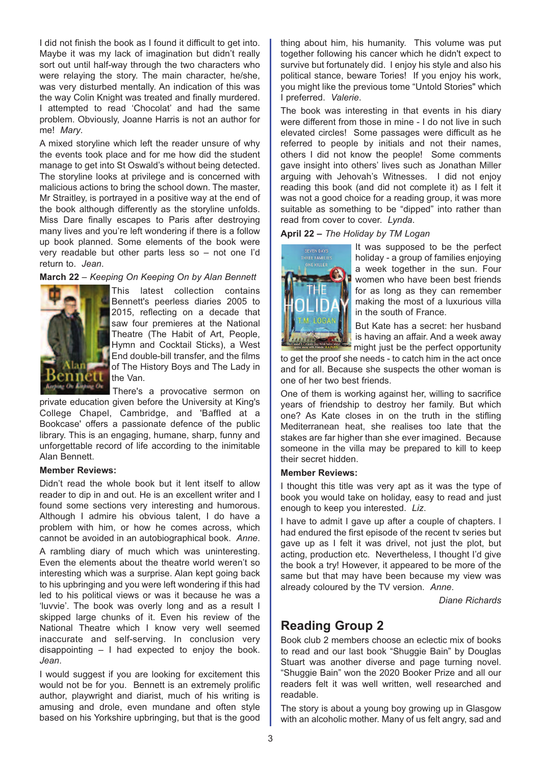I did not finish the book as I found it difficult to get into. Maybe it was my lack of imagination but didn't really sort out until half-way through the two characters who were relaying the story. The main character, he/she, was very disturbed mentally. An indication of this was the way Colin Knight was treated and finally murdered. I attempted to read 'Chocolat' and had the same problem. Obviously, Joanne Harris is not an author for me! *Mary*.

A mixed storyline which left the reader unsure of why the events took place and for me how did the student manage to get into St Oswald's without being detected. The storyline looks at privilege and is concerned with malicious actions to bring the school down. The master, Mr Straitley, is portrayed in a positive way at the end of the book although differently as the storyline unfolds. Miss Dare finally escapes to Paris after destroying many lives and you're left wondering if there is a follow up book planned. Some elements of the book were very readable but other parts less so – not one I'd return to. *Jean*.

#### **March 22** – *Keeping On Keeping On by Alan Bennett*



This latest collection contains Bennett's peerless diaries 2005 to 2015, reflecting on a decade that saw four premieres at the National Theatre (The Habit of Art, People, Hymn and Cocktail Sticks), a West End double-bill transfer, and the films of The History Boys and The Lady in the Van.

There's a provocative sermon on private education given before the University at King's College Chapel, Cambridge, and 'Baffled at a Bookcase' offers a passionate defence of the public library. This is an engaging, humane, sharp, funny and unforgettable record of life according to the inimitable Alan Bennett.

#### **Member Reviews:**

Didn't read the whole book but it lent itself to allow reader to dip in and out. He is an excellent writer and I found some sections very interesting and humorous. Although I admire his obvious talent, I do have a problem with him, or how he comes across, which cannot be avoided in an autobiographical book. *Anne*.

A rambling diary of much which was uninteresting. Even the elements about the theatre world weren't so interesting which was a surprise. Alan kept going back to his upbringing and you were left wondering if this had led to his political views or was it because he was a 'luvvie'. The book was overly long and as a result I skipped large chunks of it. Even his review of the National Theatre which I know very well seemed inaccurate and self-serving. In conclusion very disappointing – I had expected to enjoy the book. *Jean*.

I would suggest if you are looking for excitement this would not be for you. Bennett is an extremely prolific author, playwright and diarist, much of his writing is amusing and drole, even mundane and often style based on his Yorkshire upbringing, but that is the good thing about him, his humanity. This volume was put together following his cancer which he didn't expect to survive but fortunately did. I enjoy his style and also his political stance, beware Tories! If you enjoy his work, you might like the previous tome "Untold Stories" which I preferred. *Valerie*.

The book was interesting in that events in his diary were different from those in mine - I do not live in such elevated circles! Some passages were difficult as he referred to people by initials and not their names, others I did not know the people! Some comments gave insight into others' lives such as Jonathan Miller arguing with Jehovah's Witnesses. I did not enjoy reading this book (and did not complete it) as I felt it was not a good choice for a reading group, it was more suitable as something to be "dipped" into rather than read from cover to cover. *Lynda*.

**April 22 –** *The Holiday by TM Logan*



It was supposed to be the perfect holiday - a group of families enjoying a week together in the sun. Four women who have been best friends for as long as they can remember making the most of a luxurious villa in the south of France.

But Kate has a secret: her husband is having an affair. And a week away might just be the perfect opportunity

to get the proof she needs - to catch him in the act once and for all. Because she suspects the other woman is one of her two best friends.

One of them is working against her, willing to sacrifice years of friendship to destroy her family. But which one? As Kate closes in on the truth in the stifling Mediterranean heat, she realises too late that the stakes are far higher than she ever imagined. Because someone in the villa may be prepared to kill to keep their secret hidden.

#### **Member Reviews:**

I thought this title was very apt as it was the type of book you would take on holiday, easy to read and just enough to keep you interested. *Liz*.

I have to admit I gave up after a couple of chapters. I had endured the first episode of the recent tv series but gave up as I felt it was drivel, not just the plot, but acting, production etc. Nevertheless, I thought I'd give the book a try! However, it appeared to be more of the same but that may have been because my view was already coloured by the TV version. *Anne*.

*Diane Richards*

## **Reading Group 2**

Book club 2 members choose an eclectic mix of books to read and our last book "Shuggie Bain" by Douglas Stuart was another diverse and page turning novel. "Shuggie Bain" won the 2020 Booker Prize and all our readers felt it was well written, well researched and readable.

The story is about a young boy growing up in Glasgow with an alcoholic mother. Many of us felt angry, sad and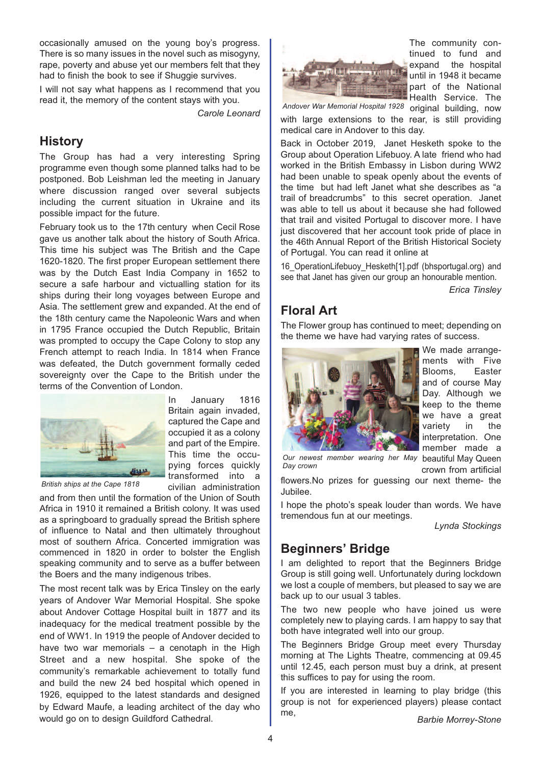occasionally amused on the young boy's progress. There is so many issues in the novel such as misogyny, rape, poverty and abuse yet our members felt that they had to finish the book to see if Shuggie survives.

I will not say what happens as I recommend that you read it, the memory of the content stays with you.

*Carole Leonard*

In January 1816 Britain again invaded, captured the Cape and occupied it as a colony and part of the Empire. This time the occupying forces quickly

# **History**

The Group has had a very interesting Spring programme even though some planned talks had to be postponed. Bob Leishman led the meeting in January where discussion ranged over several subjects including the current situation in Ukraine and its possible impact for the future.

February took us to the 17th century when Cecil Rose gave us another talk about the history of South Africa. This time his subject was The British and the Cape 1620-1820. The first proper European settlement there was by the Dutch East India Company in 1652 to secure a safe harbour and victualling station for its ships during their long voyages between Europe and Asia. The settlement grew and expanded. At the end of the 18th century came the Napoleonic Wars and when in 1795 France occupied the Dutch Republic, Britain was prompted to occupy the Cape Colony to stop any French attempt to reach India. In 1814 when France was defeated, the Dutch government formally ceded sovereignty over the Cape to the British under the terms of the Convention of London.



*British ships at the Cape 1818*

transformed into a civilian administration and from then until the formation of the Union of South Africa in 1910 it remained a British colony. It was used as a springboard to gradually spread the British sphere of influence to Natal and then ultimately throughout most of southern Africa. Concerted immigration was commenced in 1820 in order to bolster the English speaking community and to serve as a buffer between the Boers and the many indigenous tribes.

The most recent talk was by Erica Tinsley on the early years of Andover War Memorial Hospital. She spoke about Andover Cottage Hospital built in 1877 and its inadequacy for the medical treatment possible by the end of WW1. In 1919 the people of Andover decided to have two war memorials – a cenotaph in the High Street and a new hospital. She spoke of the community's remarkable achievement to totally fund and build the new 24 bed hospital which opened in 1926, equipped to the latest standards and designed by Edward Maufe, a leading architect of the day who would go on to design Guildford Cathedral.



The community continued to fund and expand the hospital until in 1948 it became part of the National Health Service. The

original building, now *Andover War Memorial Hospital 1928*

with large extensions to the rear, is still providing medical care in Andover to this day.

Back in October 2019, Janet Hesketh spoke to the Group about Operation Lifebuoy. A late friend who had worked in the British Embassy in Lisbon during WW2 had been unable to speak openly about the events of the time but had left Janet what she describes as "a trail of breadcrumbs" to this secret operation. Janet was able to tell us about it because she had followed that trail and visited Portugal to discover more. I have just discovered that her account took pride of place in the 46th Annual Report of the British Historical Society of Portugal. You can read it online at

16\_OperationLifebuoy\_Hesketh[1].pdf (bhsportugal.org) and see that Janet has given our group an honourable mention.

*Erica Tinsley*

# **Floral Art**

The Flower group has continued to meet; depending on the theme we have had varying rates of success.



We made arrangements with Five Blooms, Easter and of course May Day. Although we keep to the theme we have a great variety in the interpretation. One member made a

**Our newest member wearing her May beautiful May Queen** crown from artificial *Day crown*

flowers.No prizes for guessing our next theme- the Jubilee.

I hope the photo's speak louder than words. We have tremendous fun at our meetings.

*Lynda Stockings*

## **Beginners' Bridge**

I am delighted to report that the Beginners Bridge Group is still going well. Unfortunately during lockdown we lost a couple of members, but pleased to say we are back up to our usual 3 tables.

The two new people who have joined us were completely new to playing cards. I am happy to say that both have integrated well into our group.

The Beginners Bridge Group meet every Thursday morning at The Lights Theatre, commencing at 09.45 until 12.45, each person must buy a drink, at present this suffices to pay for using the room.

If you are interested in learning to play bridge (this group is not for experienced players) please contact me, *Barbie Morrey-Stone*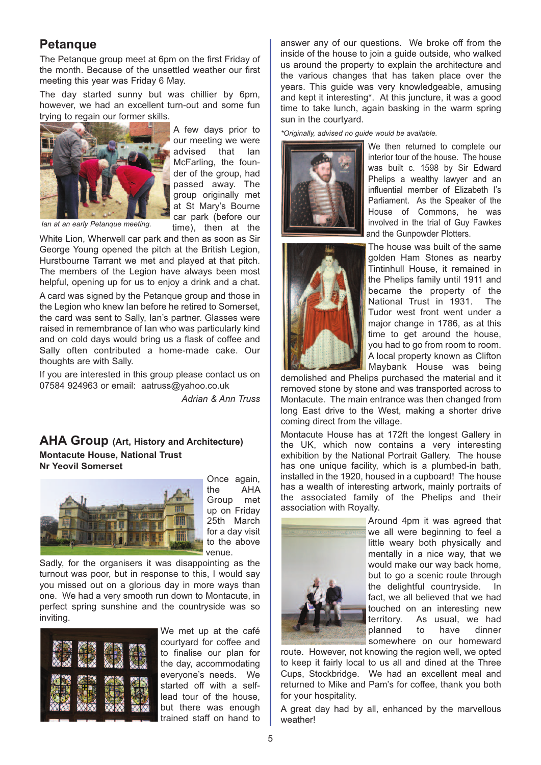#### **Petanque**

The Petanque group meet at 6pm on the first Friday of the month. Because of the unsettled weather our first meeting this year was Friday 6 May.

The day started sunny but was chillier by 6pm, however, we had an excellent turn-out and some fun trying to regain our former skills.



A few days prior to our meeting we were advised that Ian McFarling, the founder of the group, had passed away. The group originally met at St Mary's Bourne car park (before our time), then at the

*Ian at an early Petanque meeting.*

White Lion, Wherwell car park and then as soon as Sir George Young opened the pitch at the British Legion, Hurstbourne Tarrant we met and played at that pitch. The members of the Legion have always been most helpful, opening up for us to enjoy a drink and a chat.

A card was signed by the Petanque group and those in the Legion who knew Ian before he retired to Somerset, the card was sent to Sally, Ian's partner. Glasses were raised in remembrance of Ian who was particularly kind and on cold days would bring us a flask of coffee and Sally often contributed a home-made cake. Our thoughts are with Sally.

If you are interested in this group please contact us on 07584 924963 or email: aatruss@yahoo.co.uk

*Adrian & Ann Truss*

#### **AHA Group (Art, History and Architecture) Montacute House, National Trust Nr Yeovil Somerset**



Once again, the AHA Group met up on Friday 25th March for a day visit to the above venue.

Sadly, for the organisers it was disappointing as the turnout was poor, but in response to this, I would say you missed out on a glorious day in more ways than one. We had a very smooth run down to Montacute, in perfect spring sunshine and the countryside was so inviting.



We met up at the café courtyard for coffee and to finalise our plan for the day, accommodating everyone's needs. We started off with a selflead tour of the house, but there was enough trained staff on hand to

answer any of our questions. We broke off from the inside of the house to join a guide outside, who walked us around the property to explain the architecture and the various changes that has taken place over the years. This guide was very knowledgeable, amusing and kept it interesting\*. At this juncture, it was a good time to take lunch, again basking in the warm spring sun in the courtyard.

*\*Originally, advised no guide would be available.*





We then returned to complete our interior tour of the house. The house was built c. 1598 by Sir Edward Phelips a wealthy lawyer and an influential member of Elizabeth I's Parliament. As the Speaker of the House of Commons, he was involved in the trial of Guy Fawkes and the Gunpowder Plotters.

The house was built of the same golden Ham Stones as nearby Tintinhull House, it remained in the Phelips family until 1911 and became the property of the National Trust in 1931. The Tudor west front went under a major change in 1786, as at this time to get around the house. you had to go from room to room. A local property known as Clifton Maybank House was being

demolished and Phelips purchased the material and it removed stone by stone and was transported across to Montacute. The main entrance was then changed from long East drive to the West, making a shorter drive coming direct from the village.

Montacute House has at 172ft the longest Gallery in the UK, which now contains a very interesting exhibition by the National Portrait Gallery. The house has one unique facility, which is a plumbed-in bath. installed in the 1920, housed in a cupboard! The house has a wealth of interesting artwork, mainly portraits of the associated family of the Phelips and their association with Royalty.



Around 4pm it was agreed that we all were beginning to feel a little weary both physically and mentally in a nice way, that we would make our way back home, but to go a scenic route through the delightful countryside. In fact, we all believed that we had touched on an interesting new territory. As usual, we had planned to have dinner somewhere on our homeward

route. However, not knowing the region well, we opted to keep it fairly local to us all and dined at the Three Cups, Stockbridge. We had an excellent meal and returned to Mike and Pam's for coffee, thank you both for your hospitality.

A great day had by all, enhanced by the marvellous weather!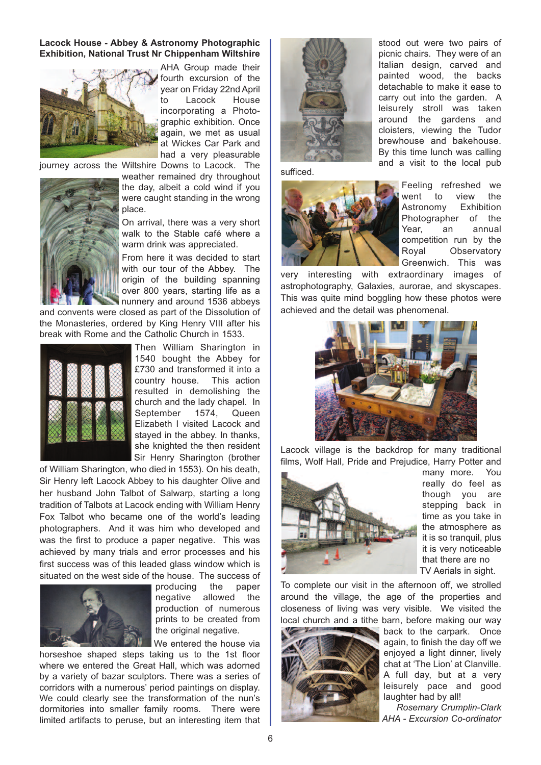#### **Lacock House - Abbey & Astronomy Photographic Exhibition, National Trust Nr Chippenham Wiltshire**



AHA Group made their fourth excursion of the year on Friday 22nd April to Lacock House incorporating a Photographic exhibition. Once again, we met as usual at Wickes Car Park and had a very pleasurable



journey across the Wiltshire Downs to Lacock. The weather remained dry throughout the day, albeit a cold wind if you were caught standing in the wrong place.

> On arrival, there was a very short walk to the Stable café where a warm drink was appreciated.

> From here it was decided to start with our tour of the Abbey. The origin of the building spanning over 800 years, starting life as a nunnery and around 1536 abbeys

and convents were closed as part of the Dissolution of the Monasteries, ordered by King Henry VIII after his break with Rome and the Catholic Church in 1533.



Then William Sharington in 1540 bought the Abbey for £730 and transformed it into a country house. This action resulted in demolishing the church and the lady chapel. In September 1574, Queen Elizabeth I visited Lacock and stayed in the abbey. In thanks, she knighted the then resident Sir Henry Sharington (brother

of William Sharington, who died in 1553). On his death, Sir Henry left Lacock Abbey to his daughter Olive and her husband John Talbot of Salwarp, starting a long tradition of Talbots at Lacock ending with William Henry Fox Talbot who became one of the world's leading photographers. And it was him who developed and was the first to produce a paper negative. This was achieved by many trials and error processes and his first success was of this leaded glass window which is situated on the west side of the house. The success of



producing the paper negative allowed the production of numerous prints to be created from the original negative.

We entered the house via

horseshoe shaped steps taking us to the 1st floor where we entered the Great Hall, which was adorned by a variety of bazar sculptors. There was a series of corridors with a numerous' period paintings on display. We could clearly see the transformation of the nun's dormitories into smaller family rooms. There were limited artifacts to peruse, but an interesting item that



stood out were two pairs of picnic chairs. They were of an Italian design, carved and painted wood, the backs detachable to make it ease to carry out into the garden. A leisurely stroll was taken around the gardens and cloisters, viewing the Tudor brewhouse and bakehouse. By this time lunch was calling and a visit to the local pub

sufficed.



Feeling refreshed we went to view the Astronomy Exhibition Photographer of the Year, an annual competition run by the Royal Observatory Greenwich. This was

very interesting with extraordinary images of astrophotography, Galaxies, aurorae, and skyscapes. This was quite mind boggling how these photos were achieved and the detail was phenomenal.



Lacock village is the backdrop for many traditional films, Wolf Hall, Pride and Prejudice, Harry Potter and



many more. You really do feel as though you are stepping back in time as you take in the atmosphere as it is so tranquil, plus it is very noticeable that there are no TV Aerials in sight.

To complete our visit in the afternoon off, we strolled around the village, the age of the properties and closeness of living was very visible. We visited the local church and a tithe barn, before making our way



back to the carpark. Once again, to finish the day off we enjoyed a light dinner, lively chat at 'The Lion' at Clanville. A full day, but at a very leisurely pace and good laughter had by all!

*Rosemary Crumplin-Clark AHA - Excursion Co-ordinator*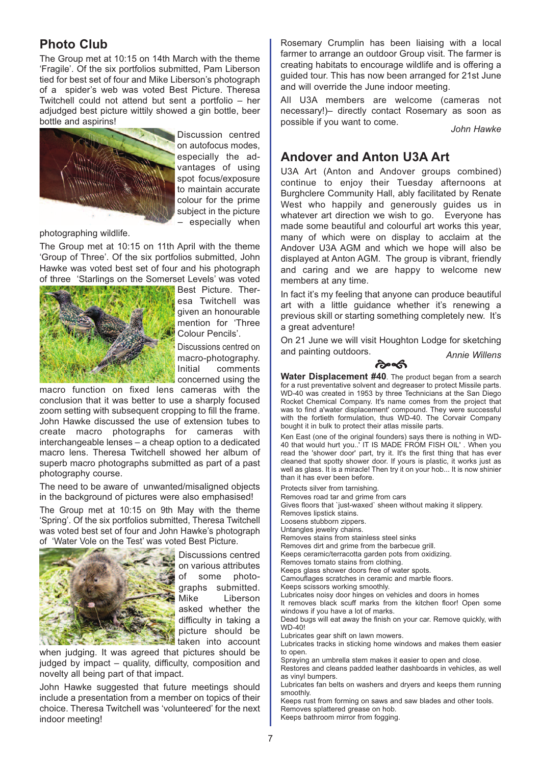# **Photo Club**

The Group met at 10:15 on 14th March with the theme 'Fragile'. Of the six portfolios submitted, Pam Liberson tied for best set of four and Mike Liberson's photograph of a spider's web was voted Best Picture. Theresa Twitchell could not attend but sent a portfolio – her adjudged best picture wittily showed a gin bottle, beer bottle and aspirins!



Discussion centred on autofocus modes, especially the advantages of using spot focus/exposure to maintain accurate colour for the prime subject in the picture – especially when

photographing wildlife.

The Group met at 10:15 on 11th April with the theme 'Group of Three'. Of the six portfolios submitted, John Hawke was voted best set of four and his photograph of three 'Starlings on the Somerset Levels' was voted



Best Picture. Theresa Twitchell was given an honourable mention for 'Three Colour Pencils'.

Discussions centred on macro-photography. Initial comments concerned using the

macro function on fixed lens cameras with the conclusion that it was better to use a sharply focused zoom setting with subsequent cropping to fill the frame. John Hawke discussed the use of extension tubes to create macro photographs for cameras with interchangeable lenses – a cheap option to a dedicated macro lens. Theresa Twitchell showed her album of superb macro photographs submitted as part of a past photography course.

The need to be aware of unwanted/misaligned objects in the background of pictures were also emphasised!

The Group met at 10:15 on 9th May with the theme 'Spring'. Of the six portfolios submitted, Theresa Twitchell was voted best set of four and John Hawke's photograph of 'Water Vole on the Test' was voted Best Picture.



Discussions centred on various attributes of some photographs submitted. Mike Liberson asked whether the difficulty in taking a picture should be taken into account

when judging. It was agreed that pictures should be judged by impact – quality, difficulty, composition and novelty all being part of that impact.

John Hawke suggested that future meetings should include a presentation from a member on topics of their choice. Theresa Twitchell was 'volunteered' for the next indoor meeting!

Rosemary Crumplin has been liaising with a local farmer to arrange an outdoor Group visit. The farmer is creating habitats to encourage wildlife and is offering a guided tour. This has now been arranged for 21st June and will override the June indoor meeting.

All U3A members are welcome (cameras not necessary!)– directly contact Rosemary as soon as possible if you want to come. *John Hawke*

#### **Andover and Anton U3A Art**

U3A Art (Anton and Andover groups combined) continue to enjoy their Tuesday afternoons at Burghclere Community Hall, ably facilitated by Renate West who happily and generously guides us in whatever art direction we wish to go. Everyone has made some beautiful and colourful art works this year, many of which were on display to acclaim at the Andover U3A AGM and which we hope will also be displayed at Anton AGM. The group is vibrant, friendly and caring and we are happy to welcome new members at any time.

In fact it's my feeling that anyone can produce beautiful art with a little guidance whether it's renewing a previous skill or starting something completely new. It's a great adventure!

On 21 June we will visit Houghton Lodge for sketching and painting outdoors. *Annie Willens*



**Water Displacement #40**. The product began from a search for a rust preventative solvent and degreaser to protect Missile parts. WD-40 was created in 1953 by three Technicians at the San Diego Rocket Chemical Company. It's name comes from the project that was to find a'water displacement' compound. They were successful with the fortieth formulation, thus WD-40. The Corvair Company bought it in bulk to protect their atlas missile parts.

Ken East (one of the original founders) says there is nothing in WD-40 that would hurt you..' IT IS MADE FROM FISH OIL' . When you read the 'shower door' part, try it. It's the first thing that has ever cleaned that spotty shower door. If yours is plastic, it works just as well as glass. It is a miracle! Then try it on your hob... It is now shinier than it has ever been before.

Protects silver from tarnishing.

Removes road tar and grime from cars

Gives floors that `just-waxed` sheen without making it slippery.

Removes lipstick stains.

Loosens stubborn zippers.

Untangles jewelry chains.

Removes stains from stainless steel sinks

Removes dirt and grime from the barbecue grill.

Keeps ceramic/terracotta garden pots from oxidizing.

Removes tomato stains from clothing.

Keeps glass shower doors free of water spots.

Camouflages scratches in ceramic and marble floors.

Keeps scissors working smoothly.

Lubricates noisy door hinges on vehicles and doors in homes It removes black scuff marks from the kitchen floor! Open some windows if you have a lot of marks.

Dead bugs will eat away the finish on your car. Remove quickly, with WD-40!

Lubricates gear shift on lawn mowers.

Lubricates tracks in sticking home windows and makes them easier to open.

Spraying an umbrella stem makes it easier to open and close.

Restores and cleans padded leather dashboards in vehicles, as well as vinyl bumpers.

Lubricates fan belts on washers and dryers and keeps them running smoothly.

Keeps rust from forming on saws and saw blades and other tools. Removes splattered grease on hob.

Keeps bathroom mirror from fogging.